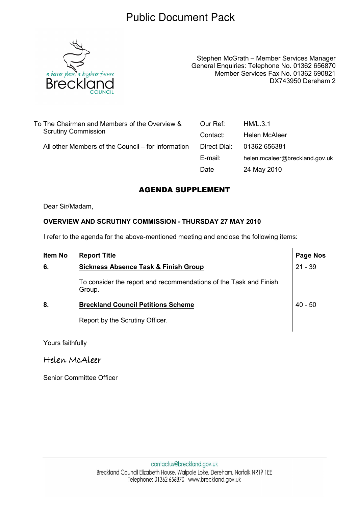# Public Document Pack



Stephen McGrath – Member Services Manager General Enquiries: Telephone No. 01362 656870 Member Services Fax No. 01362 690821 DX743950 Dereham 2

| To The Chairman and Members of the Overview &<br><b>Scrutiny Commission</b> | Our Ref:     | HM/L.3.1                       |
|-----------------------------------------------------------------------------|--------------|--------------------------------|
|                                                                             | Contact:     | Helen McAleer                  |
| All other Members of the Council – for information                          | Direct Dial: | 01362 656381                   |
|                                                                             | E-mail:      | helen.mcaleer@breckland.gov.uk |
|                                                                             | Date         | 24 May 2010                    |
|                                                                             |              |                                |

### AGENDA SUPPLEMENT

Dear Sir/Madam,

#### OVERVIEW AND SCRUTINY COMMISSION - THURSDAY 27 MAY 2010

I refer to the agenda for the above-mentioned meeting and enclose the following items:

| Item No | <b>Report Title</b>                                                         | <b>Page Nos</b> |
|---------|-----------------------------------------------------------------------------|-----------------|
| 6.      | <b>Sickness Absence Task &amp; Finish Group</b>                             | $21 - 39$       |
|         | To consider the report and recommendations of the Task and Finish<br>Group. |                 |
| 8.      | <b>Breckland Council Petitions Scheme</b>                                   | $40 - 50$       |
|         | Report by the Scrutiny Officer.                                             |                 |

Yours faithfully

Helen McAleer

Senior Committee Officer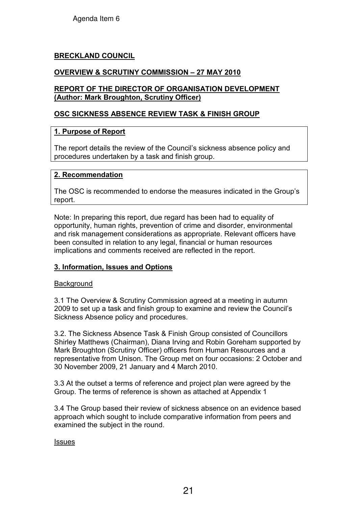### BRECKLAND COUNCIL

### OVERVIEW & SCRUTINY COMMISSION – 27 MAY 2010

### REPORT OF THE DIRECTOR OF ORGANISATION DEVELOPMENT (Author: Mark Broughton, Scrutiny Officer)

### OSC SICKNESS ABSENCE REVIEW TASK & FINISH GROUP

### 1. Purpose of Report

The report details the review of the Council's sickness absence policy and procedures undertaken by a task and finish group.

#### 2. Recommendation

The OSC is recommended to endorse the measures indicated in the Group's report.

Note: In preparing this report, due regard has been had to equality of opportunity, human rights, prevention of crime and disorder, environmental and risk management considerations as appropriate. Relevant officers have been consulted in relation to any legal, financial or human resources implications and comments received are reflected in the report.

#### 3. Information, Issues and Options

#### **Background**

3.1 The Overview & Scrutiny Commission agreed at a meeting in autumn 2009 to set up a task and finish group to examine and review the Council's Sickness Absence policy and procedures.

3.2. The Sickness Absence Task & Finish Group consisted of Councillors Shirley Matthews (Chairman), Diana Irving and Robin Goreham supported by Mark Broughton (Scrutiny Officer) officers from Human Resources and a representative from Unison. The Group met on four occasions: 2 October and 30 November 2009, 21 January and 4 March 2010.

3.3 At the outset a terms of reference and project plan were agreed by the Group. The terms of reference is shown as attached at Appendix 1

3.4 The Group based their review of sickness absence on an evidence based approach which sought to include comparative information from peers and examined the subject in the round.

#### Issues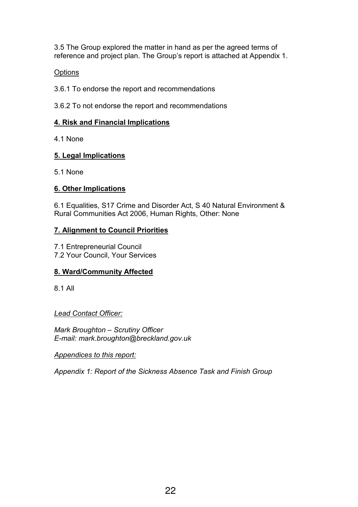3.5 The Group explored the matter in hand as per the agreed terms of reference and project plan. The Group's report is attached at Appendix 1.

### **Options**

3.6.1 To endorse the report and recommendations

3.6.2 To not endorse the report and recommendations

### 4. Risk and Financial Implications

4.1 None

### 5. Legal Implications

5.1 None

### 6. Other Implications

6.1 Equalities, S17 Crime and Disorder Act, S 40 Natural Environment & Rural Communities Act 2006, Human Rights, Other: None

### 7. Alignment to Council Priorities

7.1 Entrepreneurial Council 7.2 Your Council, Your Services

### 8. Ward/Community Affected

8.1 All

### Lead Contact Officer:

Mark Broughton – Scrutiny Officer E-mail: mark.broughton@breckland.gov.uk

### Appendices to this report:

Appendix 1: Report of the Sickness Absence Task and Finish Group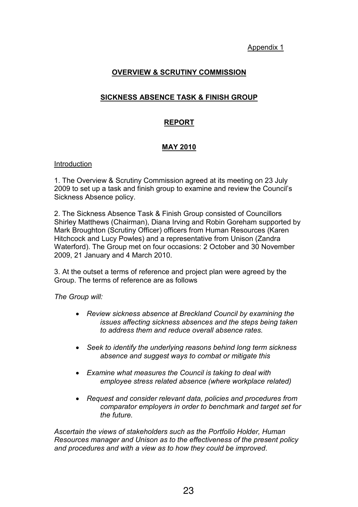Appendix 1

### OVERVIEW & SCRUTINY COMMISSION

### SICKNESS ABSENCE TASK & FINISH GROUP

### REPORT

### MAY 2010

#### Introduction

1. The Overview & Scrutiny Commission agreed at its meeting on 23 July 2009 to set up a task and finish group to examine and review the Council's Sickness Absence policy.

2. The Sickness Absence Task & Finish Group consisted of Councillors Shirley Matthews (Chairman), Diana Irving and Robin Goreham supported by Mark Broughton (Scrutiny Officer) officers from Human Resources (Karen Hitchcock and Lucy Powles) and a representative from Unison (Zandra Waterford). The Group met on four occasions: 2 October and 30 November 2009, 21 January and 4 March 2010.

3. At the outset a terms of reference and project plan were agreed by the Group. The terms of reference are as follows

The Group will:

- Review sickness absence at Breckland Council by examining the issues affecting sickness absences and the steps being taken to address them and reduce overall absence rates.
- Seek to identify the underlying reasons behind long term sickness absence and suggest ways to combat or mitigate this
- Examine what measures the Council is taking to deal with employee stress related absence (where workplace related)
- Request and consider relevant data, policies and procedures from comparator employers in order to benchmark and target set for the future.

Ascertain the views of stakeholders such as the Portfolio Holder, Human Resources manager and Unison as to the effectiveness of the present policy and procedures and with a view as to how they could be improved.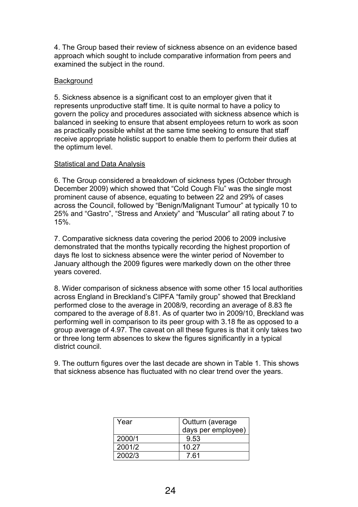4. The Group based their review of sickness absence on an evidence based approach which sought to include comparative information from peers and examined the subject in the round.

#### **Background**

5. Sickness absence is a significant cost to an employer given that it represents unproductive staff time. It is quite normal to have a policy to govern the policy and procedures associated with sickness absence which is balanced in seeking to ensure that absent employees return to work as soon as practically possible whilst at the same time seeking to ensure that staff receive appropriate holistic support to enable them to perform their duties at the optimum level.

#### Statistical and Data Analysis

6. The Group considered a breakdown of sickness types (October through December 2009) which showed that "Cold Cough Flu" was the single most prominent cause of absence, equating to between 22 and 29% of cases across the Council, followed by "Benign/Malignant Tumour" at typically 10 to 25% and "Gastro", "Stress and Anxiety" and "Muscular" all rating about 7 to 15%.

7. Comparative sickness data covering the period 2006 to 2009 inclusive demonstrated that the months typically recording the highest proportion of days fte lost to sickness absence were the winter period of November to January although the 2009 figures were markedly down on the other three years covered.

8. Wider comparison of sickness absence with some other 15 local authorities across England in Breckland's CIPFA "family group" showed that Breckland performed close to the average in 2008/9, recording an average of 8.83 fte compared to the average of 8.81. As of quarter two in 2009/10, Breckland was performing well in comparison to its peer group with 3.18 fte as opposed to a group average of 4.97. The caveat on all these figures is that it only takes two or three long term absences to skew the figures significantly in a typical district council.

9. The outturn figures over the last decade are shown in Table 1. This shows that sickness absence has fluctuated with no clear trend over the years.

| Year   | Outturn (average   |  |
|--------|--------------------|--|
|        | days per employee) |  |
| 2000/1 | 9.53               |  |
| 2001/2 | 10.27              |  |
| 2002/3 | 7 61               |  |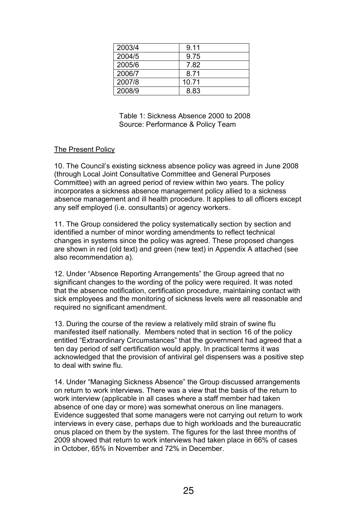| 2003/4 | 9.11  |
|--------|-------|
| 2004/5 | 9.75  |
| 2005/6 | 7.82  |
| 2006/7 | 8.71  |
| 2007/8 | 10.71 |
| 2008/9 | 8.83  |

 Table 1: Sickness Absence 2000 to 2008 Source: Performance & Policy Team

#### The Present Policy

10. The Council's existing sickness absence policy was agreed in June 2008 (through Local Joint Consultative Committee and General Purposes Committee) with an agreed period of review within two years. The policy incorporates a sickness absence management policy allied to a sickness absence management and ill health procedure. It applies to all officers except any self employed (i.e. consultants) or agency workers.

11. The Group considered the policy systematically section by section and identified a number of minor wording amendments to reflect technical changes in systems since the policy was agreed. These proposed changes are shown in red (old text) and green (new text) in Appendix A attached (see also recommendation a).

12. Under "Absence Reporting Arrangements" the Group agreed that no significant changes to the wording of the policy were required. It was noted that the absence notification, certification procedure, maintaining contact with sick employees and the monitoring of sickness levels were all reasonable and required no significant amendment.

13. During the course of the review a relatively mild strain of swine flu manifested itself nationally. Members noted that in section 16 of the policy entitled "Extraordinary Circumstances" that the government had agreed that a ten day period of self certification would apply. In practical terms it was acknowledged that the provision of antiviral gel dispensers was a positive step to deal with swine flu.

14. Under "Managing Sickness Absence" the Group discussed arrangements on return to work interviews. There was a view that the basis of the return to work interview (applicable in all cases where a staff member had taken absence of one day or more) was somewhat onerous on line managers. Evidence suggested that some managers were not carrying out return to work interviews in every case, perhaps due to high workloads and the bureaucratic onus placed on them by the system. The figures for the last three months of 2009 showed that return to work interviews had taken place in 66% of cases in October, 65% in November and 72% in December.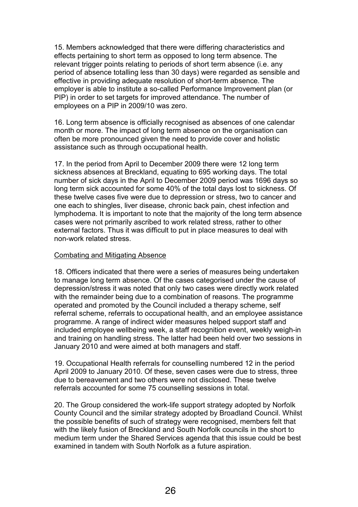15. Members acknowledged that there were differing characteristics and effects pertaining to short term as opposed to long term absence. The relevant trigger points relating to periods of short term absence (i.e. any period of absence totalling less than 30 days) were regarded as sensible and effective in providing adequate resolution of short-term absence. The employer is able to institute a so-called Performance Improvement plan (or PIP) in order to set targets for improved attendance. The number of employees on a PIP in 2009/10 was zero.

16. Long term absence is officially recognised as absences of one calendar month or more. The impact of long term absence on the organisation can often be more pronounced given the need to provide cover and holistic assistance such as through occupational health.

17. In the period from April to December 2009 there were 12 long term sickness absences at Breckland, equating to 695 working days. The total number of sick days in the April to December 2009 period was 1696 days so long term sick accounted for some 40% of the total days lost to sickness. Of these twelve cases five were due to depression or stress, two to cancer and one each to shingles, liver disease, chronic back pain, chest infection and lymphodema. It is important to note that the majority of the long term absence cases were not primarily ascribed to work related stress, rather to other external factors. Thus it was difficult to put in place measures to deal with non-work related stress.

#### Combating and Mitigating Absence

18. Officers indicated that there were a series of measures being undertaken to manage long term absence. Of the cases categorised under the cause of depression/stress it was noted that only two cases were directly work related with the remainder being due to a combination of reasons. The programme operated and promoted by the Council included a therapy scheme, self referral scheme, referrals to occupational health, and an employee assistance programme. A range of indirect wider measures helped support staff and included employee wellbeing week, a staff recognition event, weekly weigh-in and training on handling stress. The latter had been held over two sessions in January 2010 and were aimed at both managers and staff.

19. Occupational Health referrals for counselling numbered 12 in the period April 2009 to January 2010. Of these, seven cases were due to stress, three due to bereavement and two others were not disclosed. These twelve referrals accounted for some 75 counselling sessions in total.

20. The Group considered the work-life support strategy adopted by Norfolk County Council and the similar strategy adopted by Broadland Council. Whilst the possible benefits of such of strategy were recognised, members felt that with the likely fusion of Breckland and South Norfolk councils in the short to medium term under the Shared Services agenda that this issue could be best examined in tandem with South Norfolk as a future aspiration.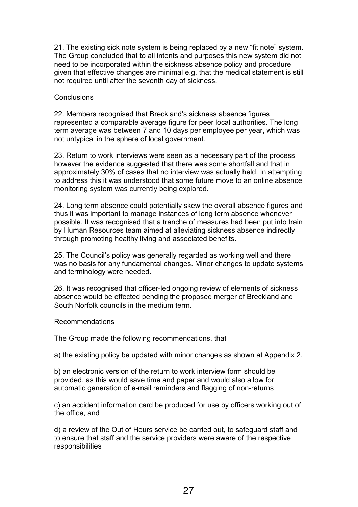21. The existing sick note system is being replaced by a new "fit note" system. The Group concluded that to all intents and purposes this new system did not need to be incorporated within the sickness absence policy and procedure given that effective changes are minimal e.g. that the medical statement is still not required until after the seventh day of sickness.

#### **Conclusions**

22. Members recognised that Breckland's sickness absence figures represented a comparable average figure for peer local authorities. The long term average was between 7 and 10 days per employee per year, which was not untypical in the sphere of local government.

23. Return to work interviews were seen as a necessary part of the process however the evidence suggested that there was some shortfall and that in approximately 30% of cases that no interview was actually held. In attempting to address this it was understood that some future move to an online absence monitoring system was currently being explored.

24. Long term absence could potentially skew the overall absence figures and thus it was important to manage instances of long term absence whenever possible. It was recognised that a tranche of measures had been put into train by Human Resources team aimed at alleviating sickness absence indirectly through promoting healthy living and associated benefits.

25. The Council's policy was generally regarded as working well and there was no basis for any fundamental changes. Minor changes to update systems and terminology were needed.

26. It was recognised that officer-led ongoing review of elements of sickness absence would be effected pending the proposed merger of Breckland and South Norfolk councils in the medium term.

#### Recommendations

The Group made the following recommendations, that

a) the existing policy be updated with minor changes as shown at Appendix 2.

b) an electronic version of the return to work interview form should be provided, as this would save time and paper and would also allow for automatic generation of e-mail reminders and flagging of non-returns

c) an accident information card be produced for use by officers working out of the office, and

d) a review of the Out of Hours service be carried out, to safeguard staff and to ensure that staff and the service providers were aware of the respective responsibilities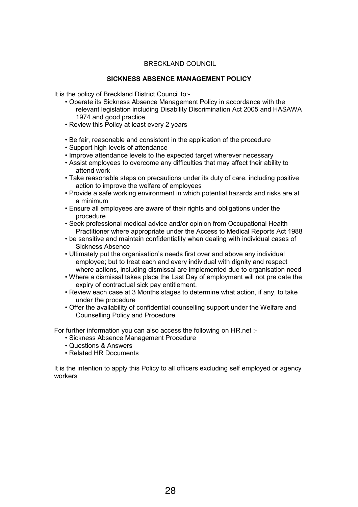#### BRECKLAND COUNCIL

#### SICKNESS ABSENCE MANAGEMENT POLICY

It is the policy of Breckland District Council to:-

- Operate its Sickness Absence Management Policy in accordance with the relevant legislation including Disability Discrimination Act 2005 and HASAWA 1974 and good practice
- Review this Policy at least every 2 years
- Be fair, reasonable and consistent in the application of the procedure
- Support high levels of attendance
- Improve attendance levels to the expected target wherever necessary
- Assist employees to overcome any difficulties that may affect their ability to attend work
- Take reasonable steps on precautions under its duty of care, including positive action to improve the welfare of employees
- Provide a safe working environment in which potential hazards and risks are at a minimum
- Ensure all employees are aware of their rights and obligations under the procedure
- Seek professional medical advice and/or opinion from Occupational Health Practitioner where appropriate under the Access to Medical Reports Act 1988
- be sensitive and maintain confidentiality when dealing with individual cases of Sickness Absence
- Ultimately put the organisation's needs first over and above any individual employee; but to treat each and every individual with dignity and respect where actions, including dismissal are implemented due to organisation need
- Where a dismissal takes place the Last Day of employment will not pre date the expiry of contractual sick pay entitlement.
- Review each case at 3 Months stages to determine what action, if any, to take under the procedure
- Offer the availability of confidential counselling support under the Welfare and Counselling Policy and Procedure

For further information you can also access the following on HR.net :-

- Sickness Absence Management Procedure
- Questions & Answers
- Related HR Documents

It is the intention to apply this Policy to all officers excluding self employed or agency workers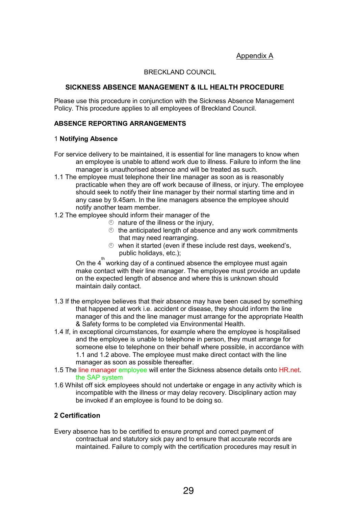#### Appendix A

#### BRECKLAND COUNCIL

#### SICKNESS ABSENCE MANAGEMENT & ILL HEALTH PROCEDURE

Please use this procedure in conjunction with the Sickness Absence Management Policy. This procedure applies to all employees of Breckland Council.

#### ABSENCE REPORTING ARRANGEMENTS

#### 1 Notifying Absence

- For service delivery to be maintained, it is essential for line managers to know when an employee is unable to attend work due to illness. Failure to inform the line manager is unauthorised absence and will be treated as such.
- 1.1 The employee must telephone their line manager as soon as is reasonably practicable when they are off work because of illness, or injury. The employee should seek to notify their line manager by their normal starting time and in any case by 9.45am. In the line managers absence the employee should notify another team member.
- 1.2 The employee should inform their manager of the
	- $\circled{1}$  nature of the illness or the injury.
	- $\circled{1}$  the anticipated length of absence and any work commitments that may need rearranging.
	- $\degree$  when it started (even if these include rest days, weekend's, public holidays, etc.);

On the  $4^{th}$  working day of a continued absence the employee must again make contact with their line manager. The employee must provide an update on the expected length of absence and where this is unknown should maintain daily contact.

- 1.3 If the employee believes that their absence may have been caused by something that happened at work i.e. accident or disease, they should inform the line manager of this and the line manager must arrange for the appropriate Health & Safety forms to be completed via Environmental Health.
- 1.4 If, in exceptional circumstances, for example where the employee is hospitalised and the employee is unable to telephone in person, they must arrange for someone else to telephone on their behalf where possible, in accordance with 1.1 and 1.2 above. The employee must make direct contact with the line manager as soon as possible thereafter.
- 1.5 The line manager employee will enter the Sickness absence details onto HR.net. the SAP system
- 1.6 Whilst off sick employees should not undertake or engage in any activity which is incompatible with the illness or may delay recovery. Disciplinary action may be invoked if an employee is found to be doing so.

#### 2 Certification

Every absence has to be certified to ensure prompt and correct payment of contractual and statutory sick pay and to ensure that accurate records are maintained. Failure to comply with the certification procedures may result in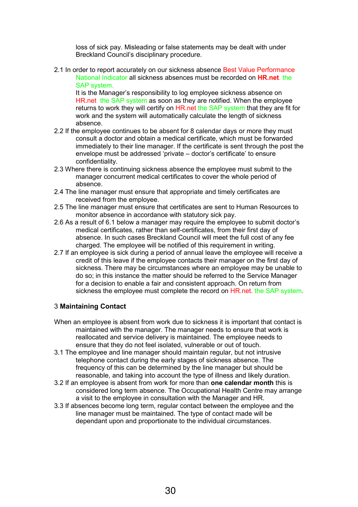loss of sick pay. Misleading or false statements may be dealt with under Breckland Council's disciplinary procedure.

2.1 In order to report accurately on our sickness absence Best Value Performance National Indicator all sickness absences must be recorded on HR.net. the SAP system.

It is the Manager's responsibility to log employee sickness absence on HR.net the SAP system as soon as they are notified. When the employee returns to work they will certify on HR.net the SAP system that they are fit for work and the system will automatically calculate the length of sickness absence.

- 2.2 If the employee continues to be absent for 8 calendar days or more they must consult a doctor and obtain a medical certificate, which must be forwarded immediately to their line manager. If the certificate is sent through the post the envelope must be addressed 'private – doctor's certificate' to ensure confidentiality.
- 2.3 Where there is continuing sickness absence the employee must submit to the manager concurrent medical certificates to cover the whole period of absence.
- 2.4 The line manager must ensure that appropriate and timely certificates are received from the employee.
- 2.5 The line manager must ensure that certificates are sent to Human Resources to monitor absence in accordance with statutory sick pay.
- 2.6 As a result of 6.1 below a manager may require the employee to submit doctor's medical certificates, rather than self-certificates, from their first day of absence. In such cases Breckland Council will meet the full cost of any fee charged. The employee will be notified of this requirement in writing.
- 2.7 If an employee is sick during a period of annual leave the employee will receive a credit of this leave if the employee contacts their manager on the first day of sickness. There may be circumstances where an employee may be unable to do so; in this instance the matter should be referred to the Service Manager for a decision to enable a fair and consistent approach. On return from sickness the employee must complete the record on HR.net. the SAP system.

#### 3 Maintaining Contact

- When an employee is absent from work due to sickness it is important that contact is maintained with the manager. The manager needs to ensure that work is reallocated and service delivery is maintained. The employee needs to ensure that they do not feel isolated, vulnerable or out of touch.
- 3.1 The employee and line manager should maintain regular, but not intrusive telephone contact during the early stages of sickness absence. The frequency of this can be determined by the line manager but should be reasonable, and taking into account the type of illness and likely duration.
- 3.2 If an employee is absent from work for more than one calendar month this is considered long term absence. The Occupational Health Centre may arrange a visit to the employee in consultation with the Manager and HR.
- 3.3 If absences become long term, regular contact between the employee and the line manager must be maintained. The type of contact made will be dependant upon and proportionate to the individual circumstances.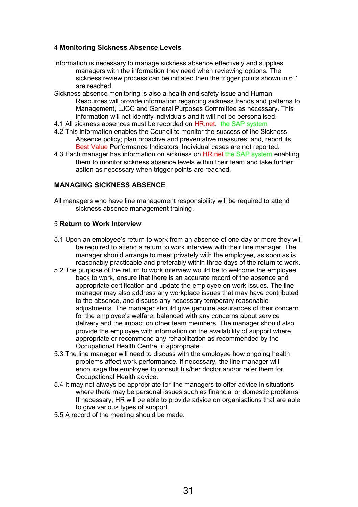#### 4 Monitoring Sickness Absence Levels

- Information is necessary to manage sickness absence effectively and supplies managers with the information they need when reviewing options. The sickness review process can be initiated then the trigger points shown in 6.1 are reached.
- Sickness absence monitoring is also a health and safety issue and Human Resources will provide information regarding sickness trends and patterns to Management, LJCC and General Purposes Committee as necessary. This information will not identify individuals and it will not be personalised.
- 4.1 All sickness absences must be recorded on HR.net. the SAP system
- 4.2 This information enables the Council to monitor the success of the Sickness Absence policy; plan proactive and preventative measures; and, report its Best Value Performance Indicators. Individual cases are not reported.
- 4.3 Each manager has information on sickness on HR.net the SAP system enabling them to monitor sickness absence levels within their team and take further action as necessary when trigger points are reached.

#### MANAGING SICKNESS ABSENCE

All managers who have line management responsibility will be required to attend sickness absence management training.

#### 5 Return to Work Interview

- 5.1 Upon an employee's return to work from an absence of one day or more they will be required to attend a return to work interview with their line manager. The manager should arrange to meet privately with the employee, as soon as is reasonably practicable and preferably within three days of the return to work.
- 5.2 The purpose of the return to work interview would be to welcome the employee back to work, ensure that there is an accurate record of the absence and appropriate certification and update the employee on work issues. The line manager may also address any workplace issues that may have contributed to the absence, and discuss any necessary temporary reasonable adjustments. The manager should give genuine assurances of their concern for the employee's welfare, balanced with any concerns about service delivery and the impact on other team members. The manager should also provide the employee with information on the availability of support where appropriate or recommend any rehabilitation as recommended by the Occupational Health Centre, if appropriate.
- 5.3 The line manager will need to discuss with the employee how ongoing health problems affect work performance. If necessary, the line manager will encourage the employee to consult his/her doctor and/or refer them for Occupational Health advice.
- 5.4 It may not always be appropriate for line managers to offer advice in situations where there may be personal issues such as financial or domestic problems. If necessary, HR will be able to provide advice on organisations that are able to give various types of support.
- 5.5 A record of the meeting should be made.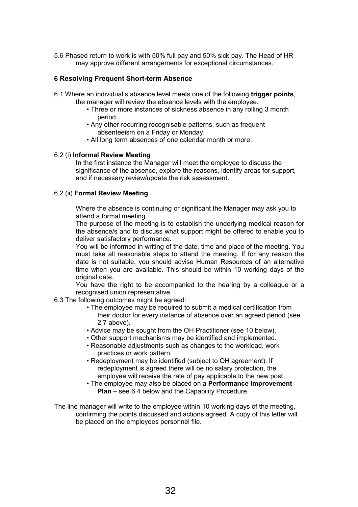5.6 Phased return to work is with 50% full pay and 50% sick pay. The Head of HR may approve different arrangements for exceptional circumstances.

#### 6 Resolving Frequent Short-term Absence

- 6.1 Where an individual's absence level meets one of the following trigger points,
	- the manager will review the absence levels with the employee.
		- Three or more instances of sickness absence in any rolling 3 month period.
		- Any other recurring recognisable patterns, such as frequent absenteeism on a Friday or Monday.
		- All long term absences of one calendar month or more.

#### 6.2 (i) Informal Review Meeting

In the first instance the Manager will meet the employee to discuss the significance of the absence, explore the reasons, identify areas for support, and if necessary review/update the risk assessment.

#### 6.2 (ii) Formal Review Meeting

Where the absence is continuing or significant the Manager may ask you to attend a formal meeting.

The purpose of the meeting is to establish the underlying medical reason for the absence/s and to discuss what support might be offered to enable you to deliver satisfactory performance.

You will be informed in writing of the date, time and place of the meeting. You must take all reasonable steps to attend the meeting. If for any reason the date is not suitable, you should advise Human Resources of an alternative time when you are available. This should be within 10 working days of the original date.

You have the right to be accompanied to the hearing by a colleague or a recognised union representative.

- 6.3 The following outcomes might be agreed:
	- The employee may be required to submit a medical certification from their doctor for every instance of absence over an agreed period (see 2.7 above).
	- Advice may be sought from the OH Practitioner (see 10 below).
	- Other support mechanisms may be identified and implemented.
	- Reasonable adjustments such as changes to the workload, work practices or work pattern.
	- Redeployment may be identified (subject to OH agreement). If redeployment is agreed there will be no salary protection, the employee will receive the rate of pay applicable to the new post.
	- The employee may also be placed on a Performance Improvement Plan – see 6.4 below and the Capability Procedure.

The line manager will write to the employee within 10 working days of the meeting, confirming the points discussed and actions agreed. A copy of this letter will be placed on the employees personnel file.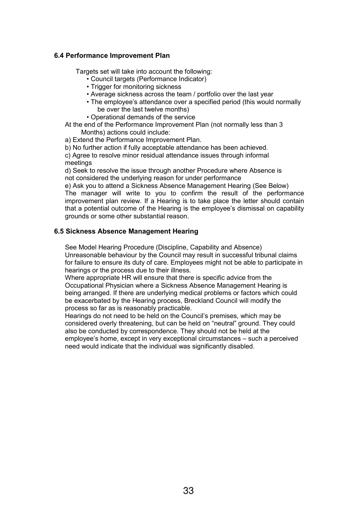#### 6.4 Performance Improvement Plan

Targets set will take into account the following:

- Council targets (Performance Indicator)
- Trigger for monitoring sickness
- Average sickness across the team / portfolio over the last year
- The employee's attendance over a specified period (this would normally be over the last twelve months)
- Operational demands of the service
- At the end of the Performance Improvement Plan (not normally less than 3 Months) actions could include:

a) Extend the Performance Improvement Plan.

b) No further action if fully acceptable attendance has been achieved.

c) Agree to resolve minor residual attendance issues through informal meetings

d) Seek to resolve the issue through another Procedure where Absence is not considered the underlying reason for under performance

e) Ask you to attend a Sickness Absence Management Hearing (See Below) The manager will write to you to confirm the result of the performance improvement plan review. If a Hearing is to take place the letter should contain that a potential outcome of the Hearing is the employee's dismissal on capability grounds or some other substantial reason.

#### 6.5 Sickness Absence Management Hearing

See Model Hearing Procedure (Discipline, Capability and Absence) Unreasonable behaviour by the Council may result in successful tribunal claims for failure to ensure its duty of care. Employees might not be able to participate in hearings or the process due to their illness.

Where appropriate HR will ensure that there is specific advice from the Occupational Physician where a Sickness Absence Management Hearing is being arranged. If there are underlying medical problems or factors which could be exacerbated by the Hearing process, Breckland Council will modify the process so far as is reasonably practicable.

Hearings do not need to be held on the Council's premises, which may be considered overly threatening, but can be held on "neutral" ground. They could also be conducted by correspondence. They should not be held at the employee's home, except in very exceptional circumstances – such a perceived need would indicate that the individual was significantly disabled.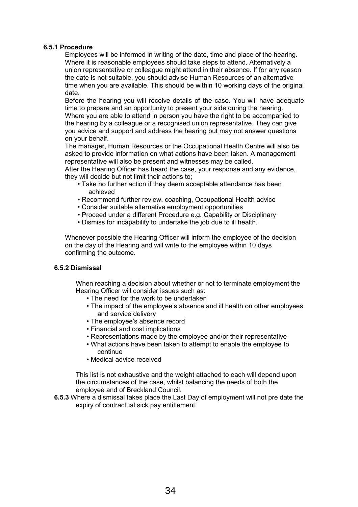#### 6.5.1 Procedure

Employees will be informed in writing of the date, time and place of the hearing. Where it is reasonable employees should take steps to attend. Alternatively a union representative or colleague might attend in their absence. If for any reason the date is not suitable, you should advise Human Resources of an alternative time when you are available. This should be within 10 working days of the original date.

Before the hearing you will receive details of the case. You will have adequate time to prepare and an opportunity to present your side during the hearing. Where you are able to attend in person you have the right to be accompanied to the hearing by a colleague or a recognised union representative. They can give you advice and support and address the hearing but may not answer questions on your behalf.

The manager, Human Resources or the Occupational Health Centre will also be asked to provide information on what actions have been taken. A management representative will also be present and witnesses may be called.

After the Hearing Officer has heard the case, your response and any evidence, they will decide but not limit their actions to;

- Take no further action if they deem acceptable attendance has been achieved
- Recommend further review, coaching, Occupational Health advice
- Consider suitable alternative employment opportunities
- Proceed under a different Procedure e.g. Capability or Disciplinary
- Dismiss for incapability to undertake the job due to ill health.

Whenever possible the Hearing Officer will inform the employee of the decision on the day of the Hearing and will write to the employee within 10 days confirming the outcome.

#### 6.5.2 Dismissal

When reaching a decision about whether or not to terminate employment the Hearing Officer will consider issues such as:

- The need for the work to be undertaken
- The impact of the employee's absence and ill health on other employees and service delivery
- The employee's absence record
- Financial and cost implications
- Representations made by the employee and/or their representative
- What actions have been taken to attempt to enable the employee to continue
- Medical advice received

This list is not exhaustive and the weight attached to each will depend upon the circumstances of the case, whilst balancing the needs of both the employee and of Breckland Council.

6.5.3 Where a dismissal takes place the Last Day of employment will not pre date the expiry of contractual sick pay entitlement.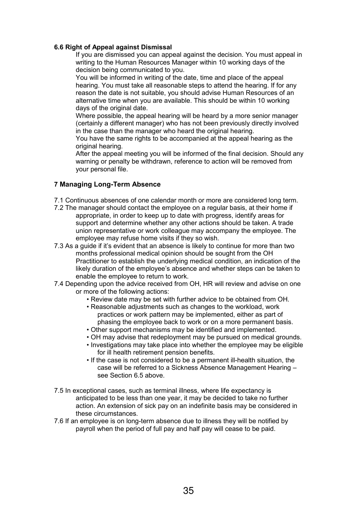#### 6.6 Right of Appeal against Dismissal

If you are dismissed you can appeal against the decision. You must appeal in writing to the Human Resources Manager within 10 working days of the decision being communicated to you.

You will be informed in writing of the date, time and place of the appeal hearing. You must take all reasonable steps to attend the hearing. If for any reason the date is not suitable, you should advise Human Resources of an alternative time when you are available. This should be within 10 working days of the original date.

Where possible, the appeal hearing will be heard by a more senior manager (certainly a different manager) who has not been previously directly involved in the case than the manager who heard the original hearing.

You have the same rights to be accompanied at the appeal hearing as the original hearing.

After the appeal meeting you will be informed of the final decision. Should any warning or penalty be withdrawn, reference to action will be removed from your personal file.

#### 7 Managing Long-Term Absence

- 7.1 Continuous absences of one calendar month or more are considered long term.
- 7.2 The manager should contact the employee on a regular basis, at their home if appropriate, in order to keep up to date with progress, identify areas for support and determine whether any other actions should be taken. A trade union representative or work colleague may accompany the employee. The employee may refuse home visits if they so wish.
- 7.3 As a guide if it's evident that an absence is likely to continue for more than two months professional medical opinion should be sought from the OH Practitioner to establish the underlying medical condition, an indication of the likely duration of the employee's absence and whether steps can be taken to enable the employee to return to work.
- 7.4 Depending upon the advice received from OH, HR will review and advise on one or more of the following actions:
	- Review date may be set with further advice to be obtained from OH.
	- Reasonable adjustments such as changes to the workload, work practices or work pattern may be implemented, either as part of phasing the employee back to work or on a more permanent basis.
	- Other support mechanisms may be identified and implemented.
	- OH may advise that redeployment may be pursued on medical grounds.
	- Investigations may take place into whether the employee may be eligible for ill health retirement pension benefits.
	- If the case is not considered to be a permanent ill-health situation, the case will be referred to a Sickness Absence Management Hearing – see Section 6.5 above.
- 7.5 In exceptional cases, such as terminal illness, where life expectancy is anticipated to be less than one year, it may be decided to take no further action. An extension of sick pay on an indefinite basis may be considered in these circumstances.
- 7.6 If an employee is on long-term absence due to illness they will be notified by payroll when the period of full pay and half pay will cease to be paid.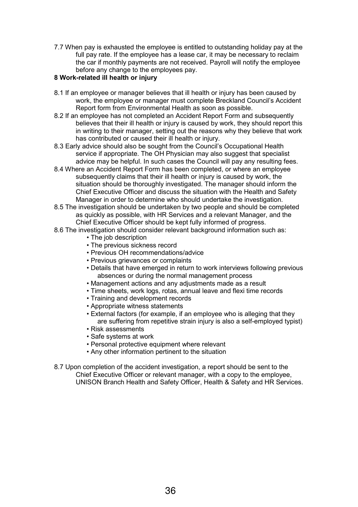7.7 When pay is exhausted the employee is entitled to outstanding holiday pay at the full pay rate. If the employee has a lease car, it may be necessary to reclaim the car if monthly payments are not received. Payroll will notify the employee before any change to the employees pay.

#### 8 Work-related ill health or injury

- 8.1 If an employee or manager believes that ill health or injury has been caused by work, the employee or manager must complete Breckland Council's Accident Report form from Environmental Health as soon as possible.
- 8.2 If an employee has not completed an Accident Report Form and subsequently believes that their ill health or injury is caused by work, they should report this in writing to their manager, setting out the reasons why they believe that work has contributed or caused their ill health or injury.
- 8.3 Early advice should also be sought from the Council's Occupational Health service if appropriate. The OH Physician may also suggest that specialist advice may be helpful. In such cases the Council will pay any resulting fees.
- 8.4 Where an Accident Report Form has been completed, or where an employee subsequently claims that their ill health or injury is caused by work, the situation should be thoroughly investigated. The manager should inform the Chief Executive Officer and discuss the situation with the Health and Safety Manager in order to determine who should undertake the investigation.
- 8.5 The investigation should be undertaken by two people and should be completed as quickly as possible, with HR Services and a relevant Manager, and the Chief Executive Officer should be kept fully informed of progress.
- 8.6 The investigation should consider relevant background information such as:
	- The job description
	- The previous sickness record
	- Previous OH recommendations/advice
	- Previous grievances or complaints
	- Details that have emerged in return to work interviews following previous absences or during the normal management process
	- Management actions and any adjustments made as a result
	- Time sheets, work logs, rotas, annual leave and flexi time records
	- Training and development records
	- Appropriate witness statements
	- External factors (for example, if an employee who is alleging that they are suffering from repetitive strain injury is also a self-employed typist)
	- Risk assessments
	- Safe systems at work
	- Personal protective equipment where relevant
	- Any other information pertinent to the situation
- 8.7 Upon completion of the accident investigation, a report should be sent to the Chief Executive Officer or relevant manager, with a copy to the employee, UNISON Branch Health and Safety Officer, Health & Safety and HR Services.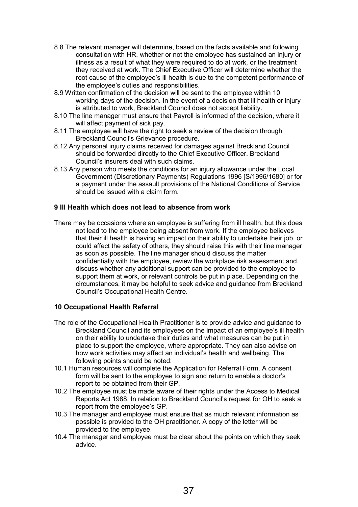- 8.8 The relevant manager will determine, based on the facts available and following consultation with HR, whether or not the employee has sustained an injury or illness as a result of what they were required to do at work, or the treatment they received at work. The Chief Executive Officer will determine whether the root cause of the employee's ill health is due to the competent performance of the employee's duties and responsibilities.
- 8.9 Written confirmation of the decision will be sent to the employee within 10 working days of the decision. In the event of a decision that ill health or injury is attributed to work, Breckland Council does not accept liability.
- 8.10 The line manager must ensure that Payroll is informed of the decision, where it will affect payment of sick pay.
- 8.11 The employee will have the right to seek a review of the decision through Breckland Council's Grievance procedure.
- 8.12 Any personal injury claims received for damages against Breckland Council should be forwarded directly to the Chief Executive Officer. Breckland Council's insurers deal with such claims.
- 8.13 Any person who meets the conditions for an injury allowance under the Local Government (Discretionary Payments) Regulations 1996 [S/1996/1680] or for a payment under the assault provisions of the National Conditions of Service should be issued with a claim form.

#### 9 Ill Health which does not lead to absence from work

There may be occasions where an employee is suffering from ill health, but this does not lead to the employee being absent from work. If the employee believes that their ill health is having an impact on their ability to undertake their job, or could affect the safety of others, they should raise this with their line manager as soon as possible. The line manager should discuss the matter confidentially with the employee, review the workplace risk assessment and discuss whether any additional support can be provided to the employee to support them at work, or relevant controls be put in place. Depending on the circumstances, it may be helpful to seek advice and guidance from Breckland Council's Occupational Health Centre.

#### 10 Occupational Health Referral

- The role of the Occupational Health Practitioner is to provide advice and guidance to Breckland Council and its employees on the impact of an employee's ill health on their ability to undertake their duties and what measures can be put in place to support the employee, where appropriate. They can also advise on how work activities may affect an individual's health and wellbeing. The following points should be noted:
- 10.1 Human resources will complete the Application for Referral Form. A consent form will be sent to the employee to sign and return to enable a doctor's report to be obtained from their GP.
- 10.2 The employee must be made aware of their rights under the Access to Medical Reports Act 1988. In relation to Breckland Council's request for OH to seek a report from the employee's GP.
- 10.3 The manager and employee must ensure that as much relevant information as possible is provided to the OH practitioner. A copy of the letter will be provided to the employee.
- 10.4 The manager and employee must be clear about the points on which they seek advice.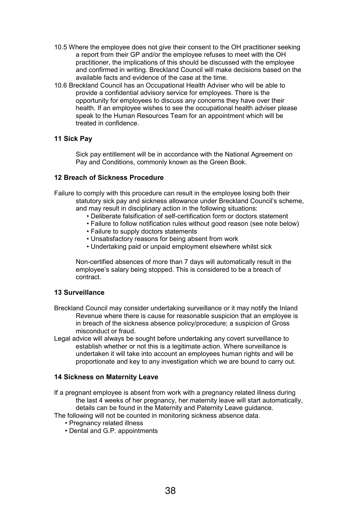- 10.5 Where the employee does not give their consent to the OH practitioner seeking a report from their GP and/or the employee refuses to meet with the OH practitioner, the implications of this should be discussed with the employee and confirmed in writing. Breckland Council will make decisions based on the available facts and evidence of the case at the time.
- 10.6 Breckland Council has an Occupational Health Adviser who will be able to provide a confidential advisory service for employees. There is the opportunity for employees to discuss any concerns they have over their health. If an employee wishes to see the occupational health adviser please speak to the Human Resources Team for an appointment which will be treated in confidence.

#### 11 Sick Pay

Sick pay entitlement will be in accordance with the National Agreement on Pay and Conditions, commonly known as the Green Book.

#### 12 Breach of Sickness Procedure

Failure to comply with this procedure can result in the employee losing both their statutory sick pay and sickness allowance under Breckland Council's scheme, and may result in disciplinary action in the following situations:

- Deliberate falsification of self-certification form or doctors statement
- Failure to follow notification rules without good reason (see note below)
- Failure to supply doctors statements
- Unsatisfactory reasons for being absent from work
- Undertaking paid or unpaid employment elsewhere whilst sick

Non-certified absences of more than 7 days will automatically result in the employee's salary being stopped. This is considered to be a breach of contract.

#### 13 Surveillance

- Breckland Council may consider undertaking surveillance or it may notify the Inland Revenue where there is cause for reasonable suspicion that an employee is in breach of the sickness absence policy/procedure; a suspicion of Gross misconduct or fraud.
- Legal advice will always be sought before undertaking any covert surveillance to establish whether or not this is a legitimate action. Where surveillance is undertaken it will take into account an employees human rights and will be proportionate and key to any investigation which we are bound to carry out.

#### 14 Sickness on Maternity Leave

If a pregnant employee is absent from work with a pregnancy related illness during the last 4 weeks of her pregnancy, her maternity leave will start automatically, details can be found in the Maternity and Paternity Leave guidance.

The following will not be counted in monitoring sickness absence data.

- Pregnancy related illness
- Dental and G.P. appointments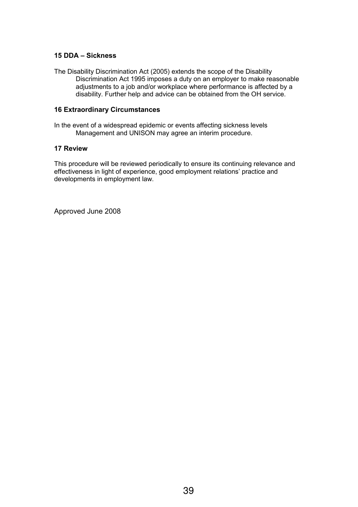#### 15 DDA – Sickness

The Disability Discrimination Act (2005) extends the scope of the Disability Discrimination Act 1995 imposes a duty on an employer to make reasonable adjustments to a job and/or workplace where performance is affected by a disability. Further help and advice can be obtained from the OH service.

#### 16 Extraordinary Circumstances

In the event of a widespread epidemic or events affecting sickness levels Management and UNISON may agree an interim procedure.

#### 17 Review

This procedure will be reviewed periodically to ensure its continuing relevance and effectiveness in light of experience, good employment relations' practice and developments in employment law.

Approved June 2008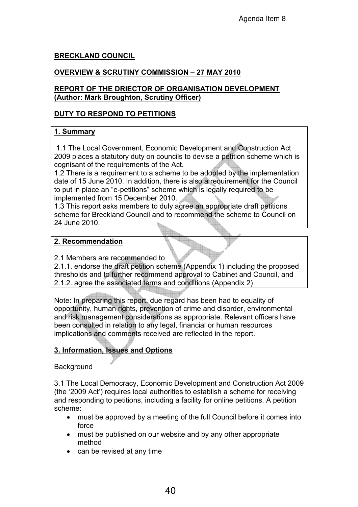### BRECKLAND COUNCIL

### OVERVIEW & SCRUTINY COMMISSION – 27 MAY 2010

### REPORT OF THE DRIECTOR OF ORGANISATION DEVELOPMENT (Author: Mark Broughton, Scrutiny Officer)

### DUTY TO RESPOND TO PETITIONS

### 1. Summary

 1.1 The Local Government, Economic Development and Construction Act 2009 places a statutory duty on councils to devise a petition scheme which is cognisant of the requirements of the Act.

1.2 There is a requirement to a scheme to be adopted by the implementation date of 15 June 2010. In addition, there is also a requirement for the Council to put in place an "e-petitions" scheme which is legally required to be implemented from 15 December 2010.

1.3 This report asks members to duly agree an appropriate draft petitions scheme for Breckland Council and to recommend the scheme to Council on 24 June 2010.

### 2. Recommendation

2.1 Members are recommended to

2.1.1. endorse the draft petition scheme (Appendix 1) including the proposed thresholds and to further recommend approval to Cabinet and Council, and 2.1.2. agree the associated terms and conditions (Appendix 2)

Note: In preparing this report, due regard has been had to equality of opportunity, human rights, prevention of crime and disorder, environmental and risk management considerations as appropriate. Relevant officers have been consulted in relation to any legal, financial or human resources implications and comments received are reflected in the report.

## 3. Information, Issues and Options

### Background

3.1 The Local Democracy, Economic Development and Construction Act 2009 (the '2009 Act') requires local authorities to establish a scheme for receiving and responding to petitions, including a facility for online petitions. A petition scheme:

- must be approved by a meeting of the full Council before it comes into force
- must be published on our website and by any other appropriate method
- can be revised at any time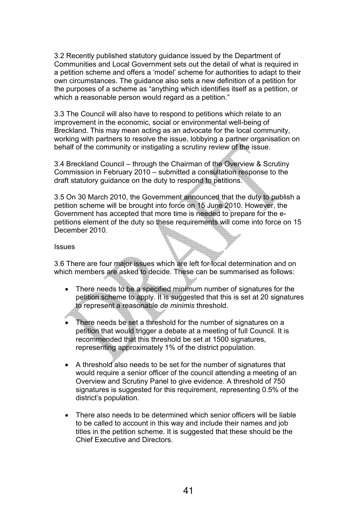3.2 Recently published statutory guidance issued by the Department of Communities and Local Government sets out the detail of what is required in a petition scheme and offers a 'model' scheme for authorities to adapt to their own circumstances. The guidance also sets a new definition of a petition for the purposes of a scheme as "anything which identifies itself as a petition, or which a reasonable person would regard as a petition."

3.3 The Council will also have to respond to petitions which relate to an improvement in the economic, social or environmental well-being of Breckland. This may mean acting as an advocate for the local community, working with partners to resolve the issue, lobbying a partner organisation on behalf of the community or instigating a scrutiny review of the issue.

3.4 Breckland Council – through the Chairman of the Overview & Scrutiny Commission in February 2010 – submitted a consultation response to the draft statutory guidance on the duty to respond to petitions.

3.5 On 30 March 2010, the Government announced that the duty to publish a petition scheme will be brought into force on 15 June 2010. However, the Government has accepted that more time is needed to prepare for the epetitions element of the duty so these requirements will come into force on 15 December 2010.

#### **Issues**

3.6 There are four major issues which are left for local determination and on which members are asked to decide. These can be summarised as follows:

- There needs to be a specified minimum number of signatures for the petition scheme to apply. It is suggested that this is set at 20 signatures to represent a reasonable de minimis threshold.
- There needs be set a threshold for the number of signatures on a petition that would trigger a debate at a meeting of full Council. It is recommended that this threshold be set at 1500 signatures, representing approximately 1% of the district population.
- A threshold also needs to be set for the number of signatures that would require a senior officer of the council attending a meeting of an Overview and Scrutiny Panel to give evidence. A threshold of 750 signatures is suggested for this requirement, representing 0.5% of the district's population.
- There also needs to be determined which senior officers will be liable to be called to account in this way and include their names and job titles in the petition scheme. It is suggested that these should be the Chief Executive and Directors.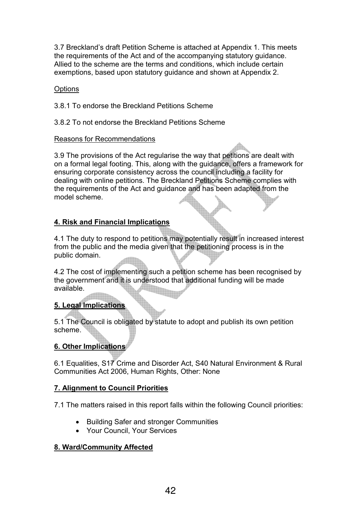3.7 Breckland's draft Petition Scheme is attached at Appendix 1. This meets the requirements of the Act and of the accompanying statutory guidance. Allied to the scheme are the terms and conditions, which include certain exemptions, based upon statutory guidance and shown at Appendix 2.

### **Options**

- 3.8.1 To endorse the Breckland Petitions Scheme
- 3.8.2 To not endorse the Breckland Petitions Scheme

### Reasons for Recommendations

3.9 The provisions of the Act regularise the way that petitions are dealt with on a formal legal footing. This, along with the guidance, offers a framework for ensuring corporate consistency across the council including a facility for dealing with online petitions. The Breckland Petitions Scheme complies with the requirements of the Act and guidance and has been adapted from the model scheme.

### 4. Risk and Financial Implications

4.1 The duty to respond to petitions may potentially result in increased interest from the public and the media given that the petitioning process is in the public domain.

4.2 The cost of implementing such a petition scheme has been recognised by the government and it is understood that additional funding will be made available.

### 5. Legal Implications

5.1 The Council is obligated by statute to adopt and publish its own petition scheme.

## 6. Other Implications

6.1 Equalities, S17 Crime and Disorder Act, S40 Natural Environment & Rural Communities Act 2006, Human Rights, Other: None

### 7. Alignment to Council Priorities

7.1 The matters raised in this report falls within the following Council priorities:

- Building Safer and stronger Communities
- Your Council, Your Services

### 8. Ward/Community Affected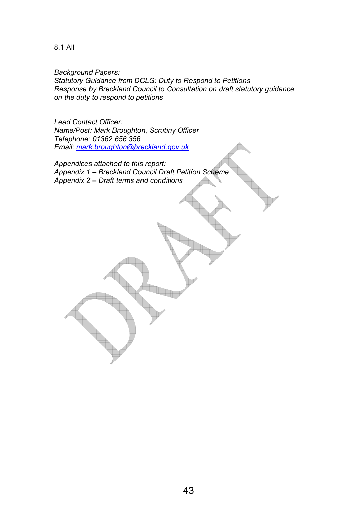8.1 All

Background Papers: Statutory Guidance from DCLG: Duty to Respond to Petitions Response by Breckland Council to Consultation on draft statutory guidance on the duty to respond to petitions

Lead Contact Officer: Name/Post: Mark Broughton, Scrutiny Officer Telephone: 01362 656 356 Email: mark.broughton@breckland.gov.uk

Appendices attached to this report: Appendix 1 – Breckland Council Draft Petition Scheme Appendix 2 – Draft terms and conditions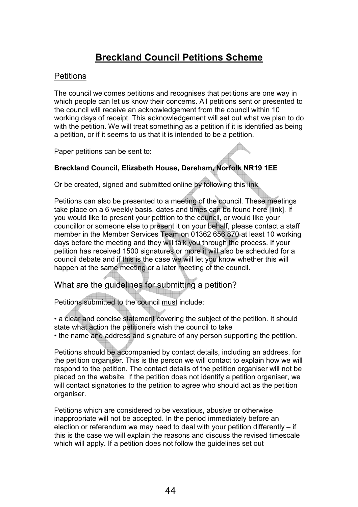# Breckland Council Petitions Scheme

### **Petitions**

The council welcomes petitions and recognises that petitions are one way in which people can let us know their concerns. All petitions sent or presented to the council will receive an acknowledgement from the council within 10 working days of receipt. This acknowledgement will set out what we plan to do with the petition. We will treat something as a petition if it is identified as being a petition, or if it seems to us that it is intended to be a petition.

Paper petitions can be sent to:

### Breckland Council, Elizabeth House, Dereham, Norfolk NR19 1EE

Or be created, signed and submitted online by following this link

Petitions can also be presented to a meeting of the council. These meetings take place on a 6 weekly basis, dates and times can be found here [link]. If you would like to present your petition to the council, or would like your councillor or someone else to present it on your behalf, please contact a staff member in the Member Services Team on 01362 656 870 at least 10 working days before the meeting and they will talk you through the process. If your petition has received 1500 signatures or more it will also be scheduled for a council debate and if this is the case we will let you know whether this will happen at the same meeting or a later meeting of the council.

### What are the guidelines for submitting a petition?

Petitions submitted to the council must include:

• a clear and concise statement covering the subject of the petition. It should state what action the petitioners wish the council to take

• the name and address and signature of any person supporting the petition.

Petitions should be accompanied by contact details, including an address, for the petition organiser. This is the person we will contact to explain how we will respond to the petition. The contact details of the petition organiser will not be placed on the website. If the petition does not identify a petition organiser, we will contact signatories to the petition to agree who should act as the petition organiser.

Petitions which are considered to be vexatious, abusive or otherwise inappropriate will not be accepted. In the period immediately before an election or referendum we may need to deal with your petition differently – if this is the case we will explain the reasons and discuss the revised timescale which will apply. If a petition does not follow the guidelines set out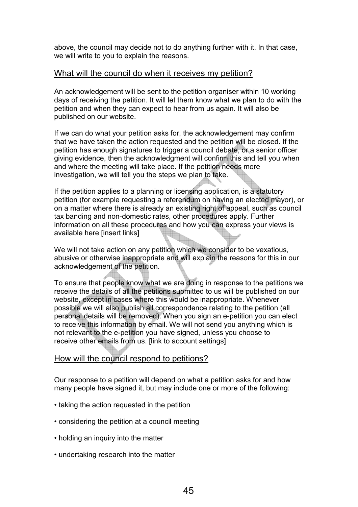above, the council may decide not to do anything further with it. In that case, we will write to you to explain the reasons.

### What will the council do when it receives my petition?

An acknowledgement will be sent to the petition organiser within 10 working days of receiving the petition. It will let them know what we plan to do with the petition and when they can expect to hear from us again. It will also be published on our website.

If we can do what your petition asks for, the acknowledgement may confirm that we have taken the action requested and the petition will be closed. If the petition has enough signatures to trigger a council debate, or a senior officer giving evidence, then the acknowledgment will confirm this and tell you when and where the meeting will take place. If the petition needs more investigation, we will tell you the steps we plan to take.

If the petition applies to a planning or licensing application, is a statutory petition (for example requesting a referendum on having an elected mayor), or on a matter where there is already an existing right of appeal, such as council tax banding and non-domestic rates, other procedures apply. Further information on all these procedures and how you can express your views is available here [insert links]

We will not take action on any petition which we consider to be vexatious, abusive or otherwise inappropriate and will explain the reasons for this in our acknowledgement of the petition.

To ensure that people know what we are doing in response to the petitions we receive the details of all the petitions submitted to us will be published on our website, except in cases where this would be inappropriate. Whenever possible we will also publish all correspondence relating to the petition (all personal details will be removed). When you sign an e-petition you can elect to receive this information by email. We will not send you anything which is not relevant to the e-petition you have signed, unless you choose to receive other emails from us. [link to account settings]

### How will the council respond to petitions?

Our response to a petition will depend on what a petition asks for and how many people have signed it, but may include one or more of the following:

- taking the action requested in the petition
- considering the petition at a council meeting
- holding an inquiry into the matter
- undertaking research into the matter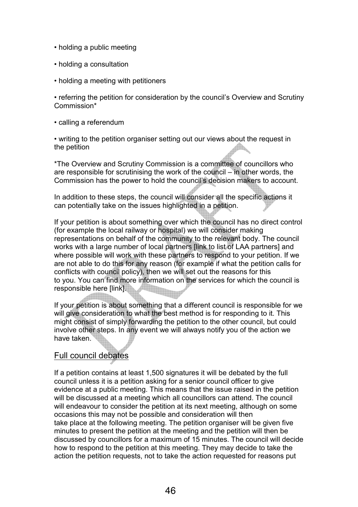- holding a public meeting
- holding a consultation
- holding a meeting with petitioners

• referring the petition for consideration by the council's Overview and Scrutiny Commission\*

• calling a referendum

• writing to the petition organiser setting out our views about the request in the petition

\*The Overview and Scrutiny Commission is a committee of councillors who are responsible for scrutinising the work of the council – in other words, the Commission has the power to hold the council's decision makers to account.

In addition to these steps, the council will consider all the specific actions it can potentially take on the issues highlighted in a petition.

If your petition is about something over which the council has no direct control (for example the local railway or hospital) we will consider making representations on behalf of the community to the relevant body. The council works with a large number of local partners [link to list of LAA partners] and where possible will work with these partners to respond to your petition. If we are not able to do this for any reason (for example if what the petition calls for conflicts with council policy), then we will set out the reasons for this to you. You can find more information on the services for which the council is responsible here [link].

If your petition is about something that a different council is responsible for we will give consideration to what the best method is for responding to it. This might consist of simply forwarding the petition to the other council, but could involve other steps. In any event we will always notify you of the action we have taken.

## Full council debates

If a petition contains at least 1,500 signatures it will be debated by the full council unless it is a petition asking for a senior council officer to give evidence at a public meeting. This means that the issue raised in the petition will be discussed at a meeting which all councillors can attend. The council will endeavour to consider the petition at its next meeting, although on some occasions this may not be possible and consideration will then take place at the following meeting. The petition organiser will be given five minutes to present the petition at the meeting and the petition will then be discussed by councillors for a maximum of 15 minutes. The council will decide how to respond to the petition at this meeting. They may decide to take the action the petition requests, not to take the action requested for reasons put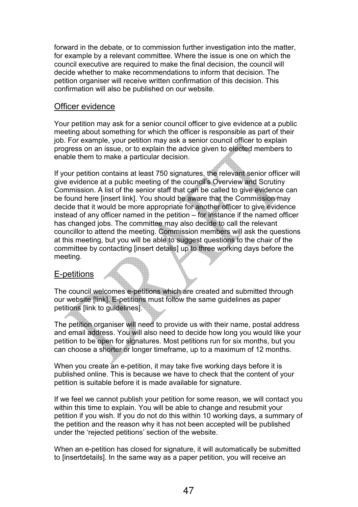forward in the debate, or to commission further investigation into the matter, for example by a relevant committee. Where the issue is one on which the council executive are required to make the final decision, the council will decide whether to make recommendations to inform that decision. The petition organiser will receive written confirmation of this decision. This confirmation will also be published on our website.

### Officer evidence

Your petition may ask for a senior council officer to give evidence at a public meeting about something for which the officer is responsible as part of their job. For example, your petition may ask a senior council officer to explain progress on an issue, or to explain the advice given to elected members to enable them to make a particular decision.

If your petition contains at least 750 signatures, the relevant senior officer will give evidence at a public meeting of the council's Overview and Scrutiny Commission. A list of the senior staff that can be called to give evidence can be found here [insert link]. You should be aware that the Commission may decide that it would be more appropriate for another officer to give evidence instead of any officer named in the petition – for instance if the named officer has changed jobs. The committee may also decide to call the relevant councillor to attend the meeting. Commission members will ask the questions at this meeting, but you will be able to suggest questions to the chair of the committee by contacting [insert details] up to three working days before the meeting.

### E-petitions

The council welcomes e-petitions which are created and submitted through our website [link]. E-petitions must follow the same guidelines as paper petitions [link to guidelines].

The petition organiser will need to provide us with their name, postal address and email address. You will also need to decide how long you would like your petition to be open for signatures. Most petitions run for six months, but you can choose a shorter or longer timeframe, up to a maximum of 12 months.

When you create an e-petition, it may take five working days before it is published online. This is because we have to check that the content of your petition is suitable before it is made available for signature.

If we feel we cannot publish your petition for some reason, we will contact you within this time to explain. You will be able to change and resubmit your petition if you wish. If you do not do this within 10 working days, a summary of the petition and the reason why it has not been accepted will be published under the 'rejected petitions' section of the website.

When an e-petition has closed for signature, it will automatically be submitted to [insertdetails]. In the same way as a paper petition, you will receive an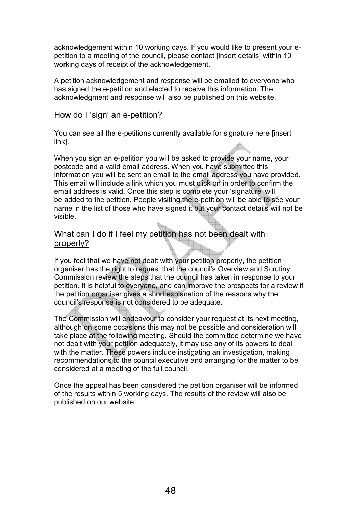acknowledgement within 10 working days. If you would like to present your epetition to a meeting of the council, please contact [insert details] within 10 working days of receipt of the acknowledgement.

A petition acknowledgement and response will be emailed to everyone who has signed the e-petition and elected to receive this information. The acknowledgment and response will also be published on this website.

#### How do I 'sign' an e-petition?

You can see all the e-petitions currently available for signature here [insert link].

When you sign an e-petition you will be asked to provide your name, your postcode and a valid email address. When you have submitted this information you will be sent an email to the email address you have provided. This email will include a link which you must click on in order to confirm the email address is valid. Once this step is complete your 'signature' will be added to the petition. People visiting the e-petition will be able to see your name in the list of those who have signed it but your contact details will not be visible.

### What can I do if I feel my petition has not been dealt with properly?

If you feel that we have not dealt with your petition properly, the petition organiser has the right to request that the council's Overview and Scrutiny Commission review the steps that the council has taken in response to your petition. It is helpful to everyone, and can improve the prospects for a review if the petition organiser gives a short explanation of the reasons why the council's response is not considered to be adequate.

The Commission will endeavour to consider your request at its next meeting, although on some occasions this may not be possible and consideration will take place at the following meeting. Should the committee determine we have not dealt with your petition adequately, it may use any of its powers to deal with the matter. These powers include instigating an investigation, making recommendations to the council executive and arranging for the matter to be considered at a meeting of the full council.

Once the appeal has been considered the petition organiser will be informed of the results within 5 working days. The results of the review will also be published on our website.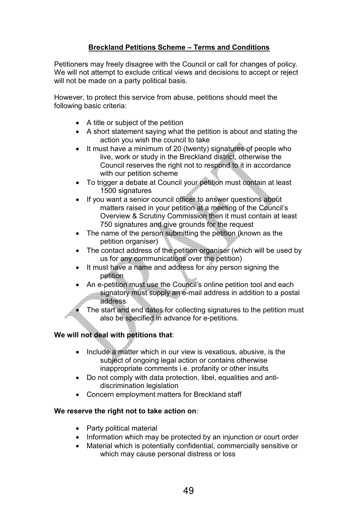### Breckland Petitions Scheme – Terms and Conditions

Petitioners may freely disagree with the Council or call for changes of policy. We will not attempt to exclude critical views and decisions to accept or reject will not be made on a party political basis.

However, to protect this service from abuse, petitions should meet the following basic criteria:

- A title or subject of the petition
- A short statement saying what the petition is about and stating the action you wish the council to take
- It must have a minimum of 20 (twenty) signatures of people who live, work or study in the Breckland district, otherwise the Council reserves the right not to respond to it in accordance with our petition scheme
- To trigger a debate at Council your petition must contain at least 1500 signatures
- If you want a senior council officer to answer questions about matters raised in your petition at a meeting of the Council's Overview & Scrutiny Commission then it must contain at least 750 signatures and give grounds for the request
- The name of the person submitting the petition (known as the petition organiser)
- The contact address of the petition organiser (which will be used by us for any communications over the petition)
- It must have a name and address for any person signing the petition
- An e-petition must use the Council's online petition tool and each signatory must supply an e-mail address in addition to a postal address
	- The start and end dates for collecting signatures to the petition must also be specified in advance for e-petitions.

### We will not deal with petitions that:

- Include a matter which in our view is vexatious, abusive, is the subject of ongoing legal action or contains otherwise inappropriate comments i.e. profanity or other insults
- Do not comply with data protection, libel, equalities and antidiscrimination legislation
- Concern employment matters for Breckland staff

#### We reserve the right not to take action on:

- Party political material
- Information which may be protected by an injunction or court order
- Material which is potentially confidential, commercially sensitive or which may cause personal distress or loss